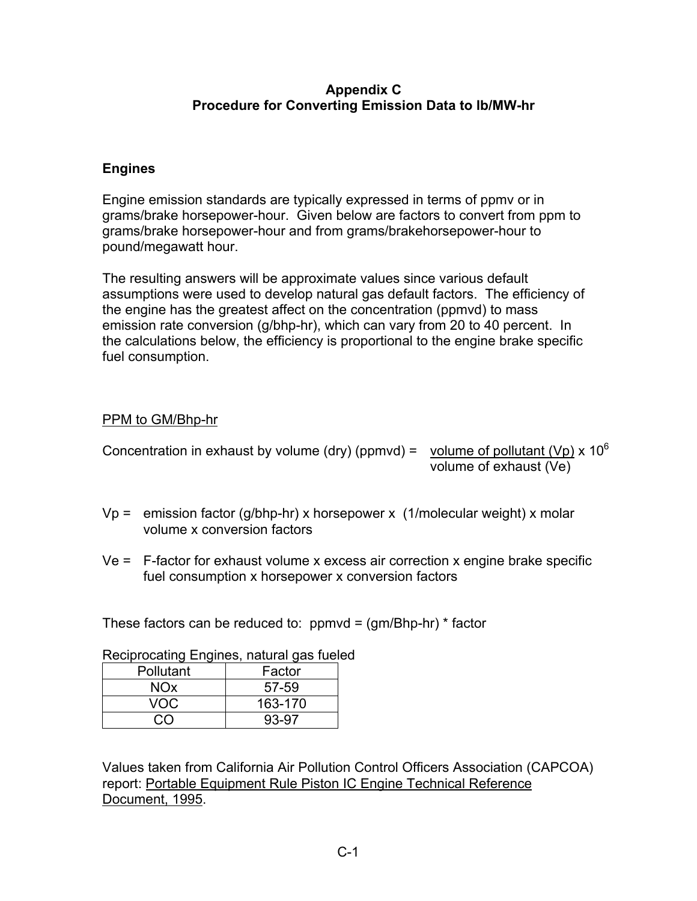### **Appendix C Procedure for Converting Emission Data to lb/MW-hr**

# **Engines**

Engine emission standards are typically expressed in terms of ppmv or in grams/brake horsepower-hour. Given below are factors to convert from ppm to grams/brake horsepower-hour and from grams/brakehorsepower-hour to pound/megawatt hour.

The resulting answers will be approximate values since various default assumptions were used to develop natural gas default factors. The efficiency of the engine has the greatest affect on the concentration (ppmvd) to mass emission rate conversion (g/bhp-hr), which can vary from 20 to 40 percent. In the calculations below, the efficiency is proportional to the engine brake specific fuel consumption.

# PPM to GM/Bhp-hr

- Concentration in exhaust by volume (dry) (ppmvd) = volume of pollutant (Vp) x  $10^6$ volume of exhaust (Ve)
- Vp = emission factor (g/bhp-hr) x horsepower x (1/molecular weight) x molar volume x conversion factors
- Ve = F-factor for exhaust volume x excess air correction x engine brake specific fuel consumption x horsepower x conversion factors

These factors can be reduced to:  $ppmvd = (gm/Bhp-hr) * factor$ 

| Pollutant   | Factor  |
|-------------|---------|
| NOx         | 57-59   |
| VOC.        | 163-170 |
| $\tilde{a}$ | 93-97   |

Reciprocating Engines, natural gas fueled

Values taken from California Air Pollution Control Officers Association (CAPCOA) report: Portable Equipment Rule Piston IC Engine Technical Reference Document, 1995.